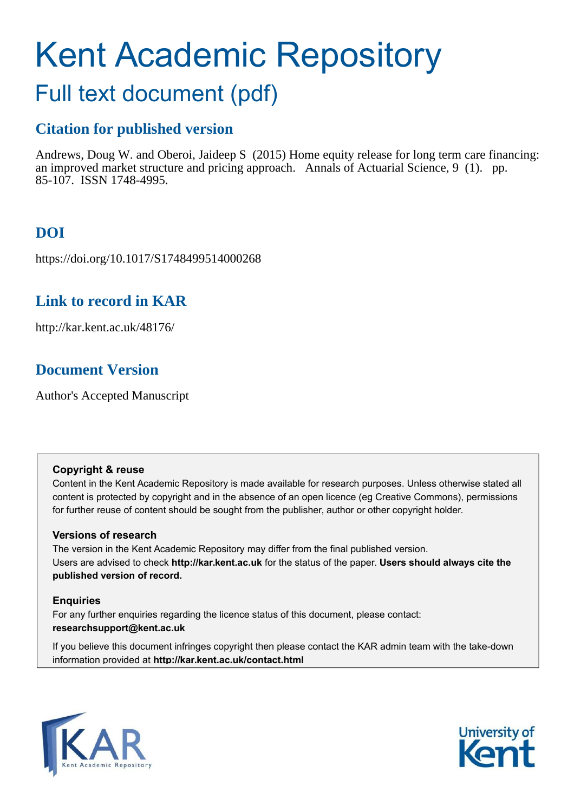# Kent Academic Repository

# Full text document (pdf)

## **Citation for published version**

Andrews, Doug W. and Oberoi, Jaideep S (2015) Home equity release for long term care financing: an improved market structure and pricing approach. Annals of Actuarial Science, 9 (1). pp. 85-107. ISSN 1748-4995.

# **DOI**

https://doi.org/10.1017/S1748499514000268

## **Link to record in KAR**

http://kar.kent.ac.uk/48176/

## **Document Version**

Author's Accepted Manuscript

## **Copyright & reuse**

Content in the Kent Academic Repository is made available for research purposes. Unless otherwise stated all content is protected by copyright and in the absence of an open licence (eg Creative Commons), permissions for further reuse of content should be sought from the publisher, author or other copyright holder.

## **Versions of research**

The version in the Kent Academic Repository may differ from the final published version. Users are advised to check **http://kar.kent.ac.uk** for the status of the paper. **Users should always cite the published version of record.**

## **Enquiries**

For any further enquiries regarding the licence status of this document, please contact: **researchsupport@kent.ac.uk**

If you believe this document infringes copyright then please contact the KAR admin team with the take-down information provided at **http://kar.kent.ac.uk/contact.html**



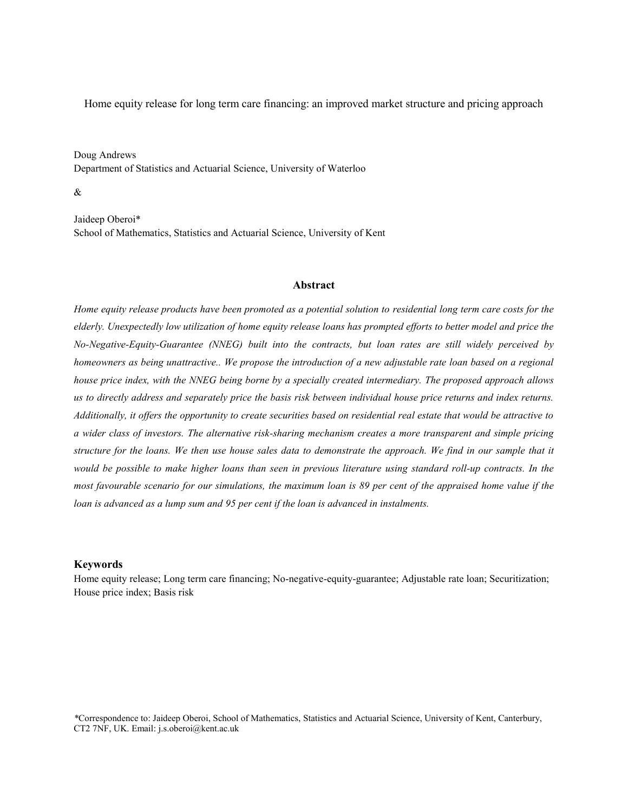Home equity release for long term care financing: an improved market structure and pricing approach

Doug Andrews Department of Statistics and Actuarial Science, University of Waterloo

&

Jaideep Oberoi\* School of Mathematics, Statistics and Actuarial Science, University of Kent

#### **Abstract**

*Home equity release products have been promoted as a potential solution to residential long term care costs for the elderly. Unexpectedly low utilization of home equity release loans has prompted efforts to better model and price the No-Negative-Equity-Guarantee (NNEG) built into the contracts, but loan rates are still widely perceived by homeowners as being unattractive.. We propose the introduction of a new adjustable rate loan based on a regional house price index, with the NNEG being borne by a specially created intermediary. The proposed approach allows us to directly address and separately price the basis risk between individual house price returns and index returns. Additionally, it offers the opportunity to create securities based on residential real estate that would be attractive to a wider class of investors. The alternative risk-sharing mechanism creates a more transparent and simple pricing structure for the loans. We then use house sales data to demonstrate the approach. We find in our sample that it would be possible to make higher loans than seen in previous literature using standard roll-up contracts. In the most favourable scenario for our simulations, the maximum loan is 89 per cent of the appraised home value if the loan is advanced as a lump sum and 95 per cent if the loan is advanced in instalments.* 

#### **Keywords**

Home equity release; Long term care financing; No-negative-equity-guarantee; Adjustable rate loan; Securitization; House price index; Basis risk

*\**Correspondence to: Jaideep Oberoi, School of Mathematics, Statistics and Actuarial Science, University of Kent, Canterbury, CT2 7NF, UK. Email: j.s.oberoi@kent.ac.uk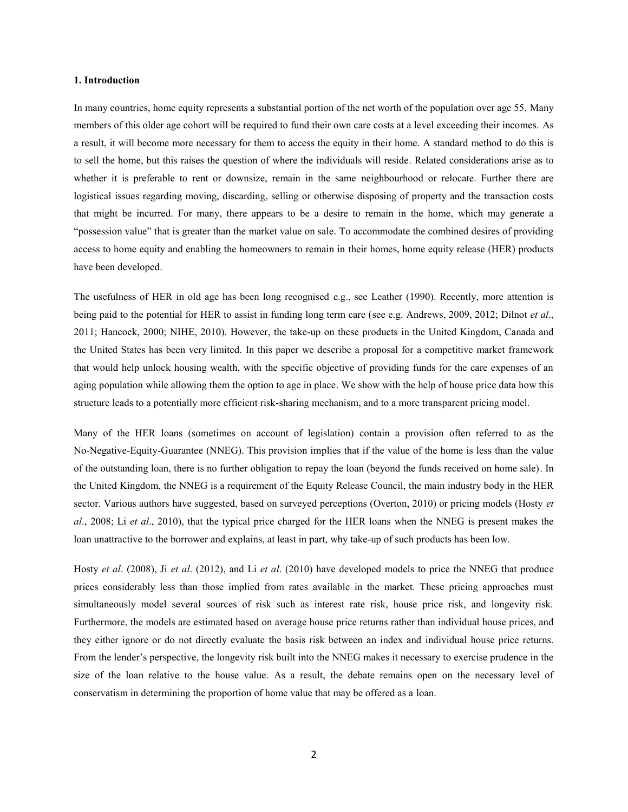#### **1. Introduction**

In many countries, home equity represents a substantial portion of the net worth of the population over age 55. Many members of this older age cohort will be required to fund their own care costs at a level exceeding their incomes. As a result, it will become more necessary for them to access the equity in their home. A standard method to do this is to sell the home, but this raises the question of where the individuals will reside. Related considerations arise as to whether it is preferable to rent or downsize, remain in the same neighbourhood or relocate. Further there are logistical issues regarding moving, discarding, selling or otherwise disposing of property and the transaction costs that might be incurred. For many, there appears to be a desire to remain in the home, which may generate a "possession value" that is greater than the market value on sale. To accommodate the combined desires of providing access to home equity and enabling the homeowners to remain in their homes, home equity release (HER) products have been developed.

The usefulness of HER in old age has been long recognised e.g., see Leather (1990). Recently, more attention is being paid to the potential for HER to assist in funding long term care (see e.g. Andrews, 2009, 2012; Dilnot *et al*., 2011; Hancock, 2000; NIHE, 2010). However, the take-up on these products in the United Kingdom, Canada and the United States has been very limited. In this paper we describe a proposal for a competitive market framework that would help unlock housing wealth, with the specific objective of providing funds for the care expenses of an aging population while allowing them the option to age in place. We show with the help of house price data how this structure leads to a potentially more efficient risk-sharing mechanism, and to a more transparent pricing model.

Many of the HER loans (sometimes on account of legislation) contain a provision often referred to as the No-Negative-Equity-Guarantee (NNEG). This provision implies that if the value of the home is less than the value of the outstanding loan, there is no further obligation to repay the loan (beyond the funds received on home sale). In the United Kingdom, the NNEG is a requirement of the Equity Release Council, the main industry body in the HER sector. Various authors have suggested, based on surveyed perceptions (Overton, 2010) or pricing models (Hosty *et al*., 2008; Li *et al*., 2010), that the typical price charged for the HER loans when the NNEG is present makes the loan unattractive to the borrower and explains, at least in part, why take-up of such products has been low.

Hosty *et al*. (2008), Ji *et al*. (2012), and Li *et al*. (2010) have developed models to price the NNEG that produce prices considerably less than those implied from rates available in the market. These pricing approaches must simultaneously model several sources of risk such as interest rate risk, house price risk, and longevity risk. Furthermore, the models are estimated based on average house price returns rather than individual house prices, and they either ignore or do not directly evaluate the basis risk between an index and individual house price returns. From the lender's perspective, the longevity risk built into the NNEG makes it necessary to exercise prudence in the size of the loan relative to the house value. As a result, the debate remains open on the necessary level of conservatism in determining the proportion of home value that may be offered as a loan.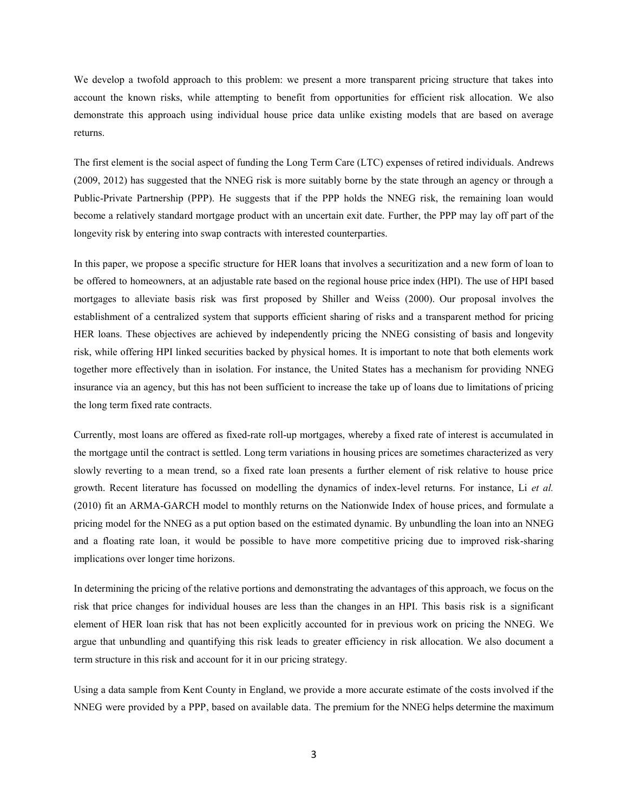We develop a twofold approach to this problem: we present a more transparent pricing structure that takes into account the known risks, while attempting to benefit from opportunities for efficient risk allocation. We also demonstrate this approach using individual house price data unlike existing models that are based on average returns.

The first element is the social aspect of funding the Long Term Care (LTC) expenses of retired individuals. Andrews (2009, 2012) has suggested that the NNEG risk is more suitably borne by the state through an agency or through a Public-Private Partnership (PPP). He suggests that if the PPP holds the NNEG risk, the remaining loan would become a relatively standard mortgage product with an uncertain exit date. Further, the PPP may lay off part of the longevity risk by entering into swap contracts with interested counterparties.

In this paper, we propose a specific structure for HER loans that involves a securitization and a new form of loan to be offered to homeowners, at an adjustable rate based on the regional house price index (HPI). The use of HPI based mortgages to alleviate basis risk was first proposed by Shiller and Weiss (2000). Our proposal involves the establishment of a centralized system that supports efficient sharing of risks and a transparent method for pricing HER loans. These objectives are achieved by independently pricing the NNEG consisting of basis and longevity risk, while offering HPI linked securities backed by physical homes. It is important to note that both elements work together more effectively than in isolation. For instance, the United States has a mechanism for providing NNEG insurance via an agency, but this has not been sufficient to increase the take up of loans due to limitations of pricing the long term fixed rate contracts.

Currently, most loans are offered as fixed-rate roll-up mortgages, whereby a fixed rate of interest is accumulated in the mortgage until the contract is settled. Long term variations in housing prices are sometimes characterized as very slowly reverting to a mean trend, so a fixed rate loan presents a further element of risk relative to house price growth. Recent literature has focussed on modelling the dynamics of index-level returns. For instance, Li *et al.* (2010) fit an ARMA-GARCH model to monthly returns on the Nationwide Index of house prices, and formulate a pricing model for the NNEG as a put option based on the estimated dynamic. By unbundling the loan into an NNEG and a floating rate loan, it would be possible to have more competitive pricing due to improved risk-sharing implications over longer time horizons.

In determining the pricing of the relative portions and demonstrating the advantages of this approach, we focus on the risk that price changes for individual houses are less than the changes in an HPI. This basis risk is a significant element of HER loan risk that has not been explicitly accounted for in previous work on pricing the NNEG. We argue that unbundling and quantifying this risk leads to greater efficiency in risk allocation. We also document a term structure in this risk and account for it in our pricing strategy.

Using a data sample from Kent County in England, we provide a more accurate estimate of the costs involved if the NNEG were provided by a PPP, based on available data. The premium for the NNEG helps determine the maximum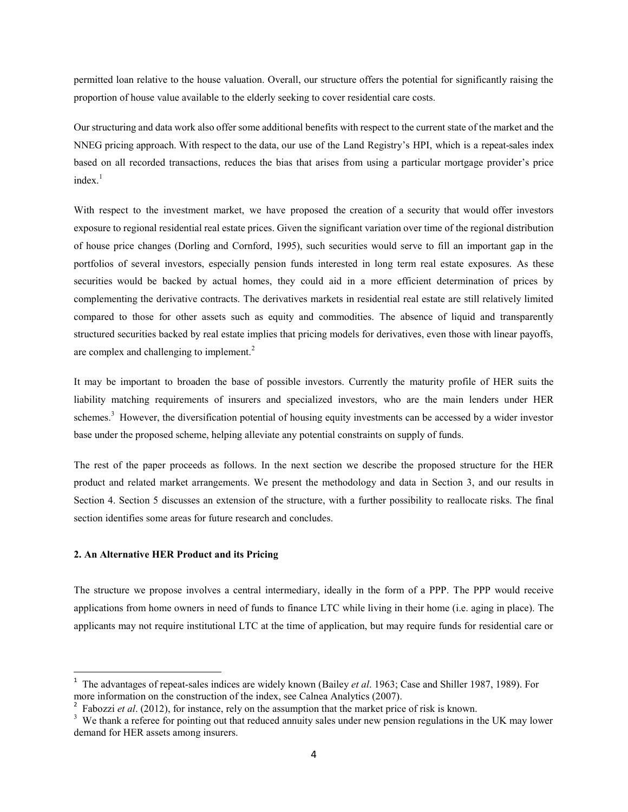permitted loan relative to the house valuation. Overall, our structure offers the potential for significantly raising the proportion of house value available to the elderly seeking to cover residential care costs.

Our structuring and data work also offer some additional benefits with respect to the current state of the market and the NNEG pricing approach. With respect to the data, our use of the Land Registry's HPI, which is a repeat-sales index based on all recorded transactions, reduces the bias that arises from using a particular mortgage provider's price  $index<sup>1</sup>$ 

With respect to the investment market, we have proposed the creation of a security that would offer investors exposure to regional residential real estate prices. Given the significant variation over time of the regional distribution of house price changes (Dorling and Cornford, 1995), such securities would serve to fill an important gap in the portfolios of several investors, especially pension funds interested in long term real estate exposures. As these securities would be backed by actual homes, they could aid in a more efficient determination of prices by complementing the derivative contracts. The derivatives markets in residential real estate are still relatively limited compared to those for other assets such as equity and commodities. The absence of liquid and transparently structured securities backed by real estate implies that pricing models for derivatives, even those with linear payoffs, are complex and challenging to implement. $2$ 

It may be important to broaden the base of possible investors. Currently the maturity profile of HER suits the liability matching requirements of insurers and specialized investors, who are the main lenders under HER schemes.<sup>3</sup> However, the diversification potential of housing equity investments can be accessed by a wider investor base under the proposed scheme, helping alleviate any potential constraints on supply of funds.

The rest of the paper proceeds as follows. In the next section we describe the proposed structure for the HER product and related market arrangements. We present the methodology and data in Section 3, and our results in Section 4. Section 5 discusses an extension of the structure, with a further possibility to reallocate risks. The final section identifies some areas for future research and concludes.

#### **2. An Alternative HER Product and its Pricing**

 $\overline{a}$ 

The structure we propose involves a central intermediary, ideally in the form of a PPP. The PPP would receive applications from home owners in need of funds to finance LTC while living in their home (i.e. aging in place). The applicants may not require institutional LTC at the time of application, but may require funds for residential care or

<sup>1</sup> The advantages of repeat-sales indices are widely known (Bailey *et al*. 1963; Case and Shiller 1987, 1989). For more information on the construction of the index, see Calnea Analytics (2007).

<sup>&</sup>lt;sup>2</sup> Fabozzi *et al.* (2012), for instance, rely on the assumption that the market price of risk is known.

<sup>&</sup>lt;sup>3</sup> We thank a referee for pointing out that reduced annuity sales under new pension regulations in the UK may lower demand for HER assets among insurers.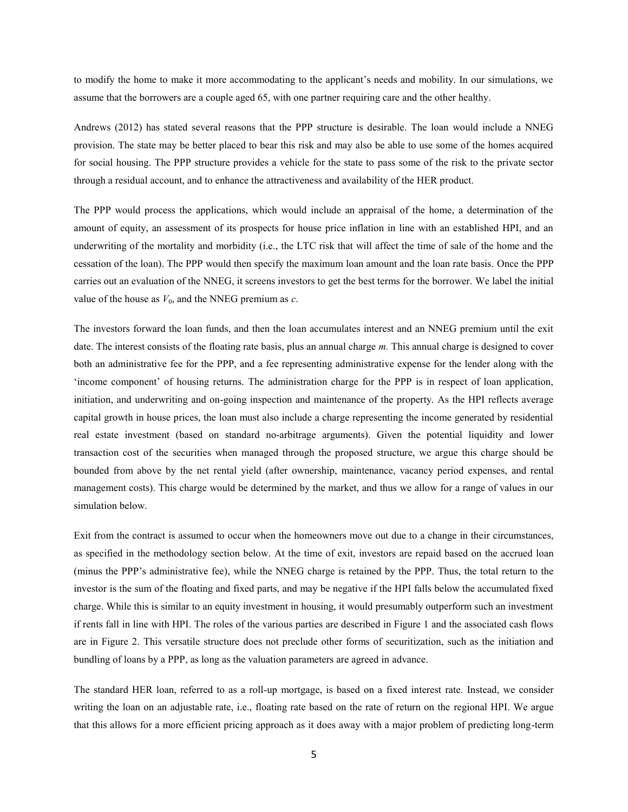to modify the home to make it more accommodating to the applicant's needs and mobility. In our simulations, we assume that the borrowers are a couple aged 65, with one partner requiring care and the other healthy.

Andrews (2012) has stated several reasons that the PPP structure is desirable. The loan would include a NNEG provision. The state may be better placed to bear this risk and may also be able to use some of the homes acquired for social housing. The PPP structure provides a vehicle for the state to pass some of the risk to the private sector through a residual account, and to enhance the attractiveness and availability of the HER product.

The PPP would process the applications, which would include an appraisal of the home, a determination of the amount of equity, an assessment of its prospects for house price inflation in line with an established HPI, and an underwriting of the mortality and morbidity (i.e., the LTC risk that will affect the time of sale of the home and the cessation of the loan). The PPP would then specify the maximum loan amount and the loan rate basis. Once the PPP carries out an evaluation of the NNEG, it screens investors to get the best terms for the borrower. We label the initial value of the house as  $V_0$ , and the NNEG premium as  $c$ .

The investors forward the loan funds, and then the loan accumulates interest and an NNEG premium until the exit date. The interest consists of the floating rate basis, plus an annual charge *m.* This annual charge is designed to cover both an administrative fee for the PPP, and a fee representing administrative expense for the lender along with the 'income component' of housing returns. The administration charge for the PPP is in respect of loan application, initiation, and underwriting and on-going inspection and maintenance of the property. As the HPI reflects average capital growth in house prices, the loan must also include a charge representing the income generated by residential real estate investment (based on standard no-arbitrage arguments). Given the potential liquidity and lower transaction cost of the securities when managed through the proposed structure, we argue this charge should be bounded from above by the net rental yield (after ownership, maintenance, vacancy period expenses, and rental management costs). This charge would be determined by the market, and thus we allow for a range of values in our simulation below.

Exit from the contract is assumed to occur when the homeowners move out due to a change in their circumstances, as specified in the methodology section below. At the time of exit, investors are repaid based on the accrued loan (minus the PPP's administrative fee), while the NNEG charge is retained by the PPP. Thus, the total return to the investor is the sum of the floating and fixed parts, and may be negative if the HPI falls below the accumulated fixed charge. While this is similar to an equity investment in housing, it would presumably outperform such an investment if rents fall in line with HPI. The roles of the various parties are described in Figure 1 and the associated cash flows are in Figure 2. This versatile structure does not preclude other forms of securitization, such as the initiation and bundling of loans by a PPP, as long as the valuation parameters are agreed in advance.

The standard HER loan, referred to as a roll-up mortgage, is based on a fixed interest rate. Instead, we consider writing the loan on an adjustable rate, i.e., floating rate based on the rate of return on the regional HPI. We argue that this allows for a more efficient pricing approach as it does away with a major problem of predicting long-term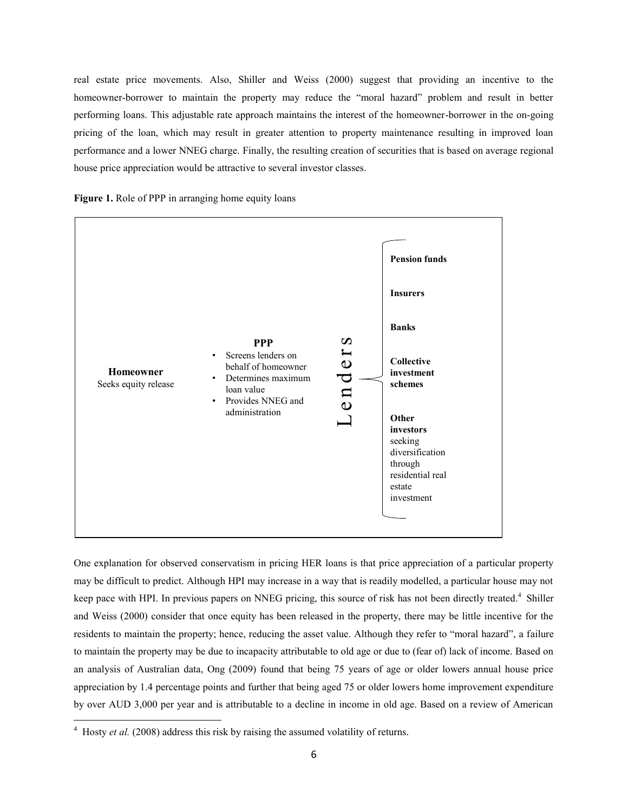real estate price movements. Also, Shiller and Weiss (2000) suggest that providing an incentive to the homeowner-borrower to maintain the property may reduce the "moral hazard" problem and result in better performing loans. This adjustable rate approach maintains the interest of the homeowner-borrower in the on-going pricing of the loan, which may result in greater attention to property maintenance resulting in improved loan performance and a lower NNEG charge. Finally, the resulting creation of securities that is based on average regional house price appreciation would be attractive to several investor classes.





One explanation for observed conservatism in pricing HER loans is that price appreciation of a particular property may be difficult to predict. Although HPI may increase in a way that is readily modelled, a particular house may not keep pace with HPI. In previous papers on NNEG pricing, this source of risk has not been directly treated.<sup>4</sup> Shiller and Weiss (2000) consider that once equity has been released in the property, there may be little incentive for the residents to maintain the property; hence, reducing the asset value. Although they refer to "moral hazard", a failure to maintain the property may be due to incapacity attributable to old age or due to (fear of) lack of income. Based on an analysis of Australian data, Ong (2009) found that being 75 years of age or older lowers annual house price appreciation by 1.4 percentage points and further that being aged 75 or older lowers home improvement expenditure by over AUD 3,000 per year and is attributable to a decline in income in old age. Based on a review of American

l

<sup>&</sup>lt;sup>4</sup> Hosty *et al.* (2008) address this risk by raising the assumed volatility of returns.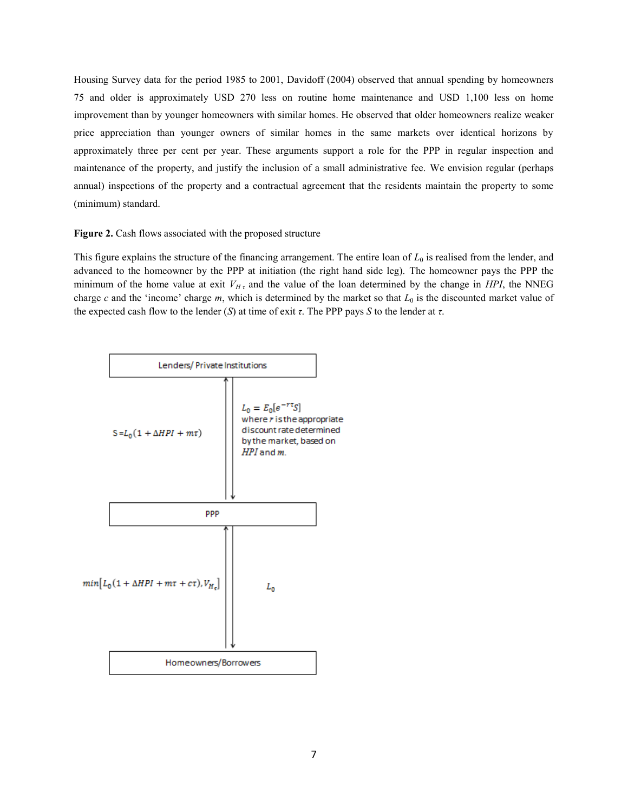Housing Survey data for the period 1985 to 2001, Davidoff (2004) observed that annual spending by homeowners 75 and older is approximately USD 270 less on routine home maintenance and USD 1,100 less on home improvement than by younger homeowners with similar homes. He observed that older homeowners realize weaker price appreciation than younger owners of similar homes in the same markets over identical horizons by approximately three per cent per year. These arguments support a role for the PPP in regular inspection and maintenance of the property, and justify the inclusion of a small administrative fee. We envision regular (perhaps annual) inspections of the property and a contractual agreement that the residents maintain the property to some (minimum) standard.

#### **Figure 2.** Cash flows associated with the proposed structure

This figure explains the structure of the financing arrangement. The entire loan of *L*0 is realised from the lender, and advanced to the homeowner by the PPP at initiation (the right hand side leg). The homeowner pays the PPP the minimum of the home value at exit  $V_{Ht}$  and the value of the loan determined by the change in *HPI*, the NNEG charge  $c$  and the 'income' charge  $m$ , which is determined by the market so that  $L_0$  is the discounted market value of the expected cash flow to the lender  $(S)$  at time of exit  $\tau$ . The PPP pays *S* to the lender at  $\tau$ .

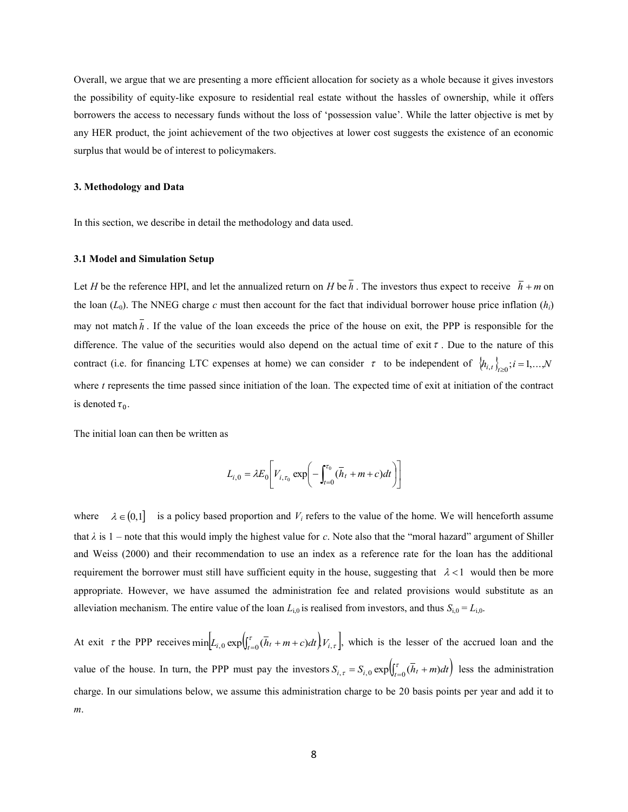Overall, we argue that we are presenting a more efficient allocation for society as a whole because it gives investors the possibility of equity-like exposure to residential real estate without the hassles of ownership, while it offers borrowers the access to necessary funds without the loss of 'possession value'. While the latter objective is met by any HER product, the joint achievement of the two objectives at lower cost suggests the existence of an economic surplus that would be of interest to policymakers.

#### **3. Methodology and Data**

In this section, we describe in detail the methodology and data used.

#### **3.1 Model and Simulation Setup**

Let *H* be the reference HPI, and let the annualized return on *H* be  $\bar{h}$ . The investors thus expect to receive  $\bar{h}$  + *m* on the loan  $(L_0)$ . The NNEG charge *c* must then account for the fact that individual borrower house price inflation  $(h_i)$ may not match  $\bar{h}$ . If the value of the loan exceeds the price of the house on exit, the PPP is responsible for the difference. The value of the securities would also depend on the actual time of exit  $\tau$ . Due to the nature of this contract (i.e. for financing LTC expenses at home) we can consider  $\tau$  to be independent of  $\{h_{i,t}\}_{t\geq0}$ ;  $i=1,...,N$ where *t* represents the time passed since initiation of the loan. The expected time of exit at initiation of the contract is denoted  $\tau_0$ .

The initial loan can then be written as

$$
L_{i,0} = \lambda E_0 \bigg[ V_{i,\tau_0} \exp \bigg( - \int_{t=0}^{\tau_0} (\bar{h}_t + m + c) dt \bigg) \bigg]
$$

where  $\lambda \in (0,1]$  is a policy based proportion and  $V_i$  refers to the value of the home. We will henceforth assume that  $\lambda$  is 1 – note that this would imply the highest value for *c*. Note also that the "moral hazard" argument of Shiller and Weiss (2000) and their recommendation to use an index as a reference rate for the loan has the additional requirement the borrower must still have sufficient equity in the house, suggesting that  $\lambda < 1$  would then be more appropriate. However, we have assumed the administration fee and related provisions would substitute as an alleviation mechanism. The entire value of the loan  $L_{i,0}$  is realised from investors, and thus  $S_{i,0} = L_{i,0}$ .

At exit  $\tau$  the PPP receives  $\min[L_{i,0} \exp\left(\int_{t=0}^{\tau} (\bar{h}_t + m + c) dt\right) V_{i,\tau}],$  $\min_{t \to 0} L_{i,0} \exp\left(\int_{t=0}^{t} (h_t + m + c) dt\right) V_{i,\tau}$ , which is the lesser of the accrued loan and the value of the house. In turn, the PPP must pay the investors  $S_{i,\tau} = S_{i,0} \exp\left(\int_{t=0}^{\tau} (h_t + m) dt\right)$  less the administration charge. In our simulations below, we assume this administration charge to be 20 basis points per year and add it to *m*.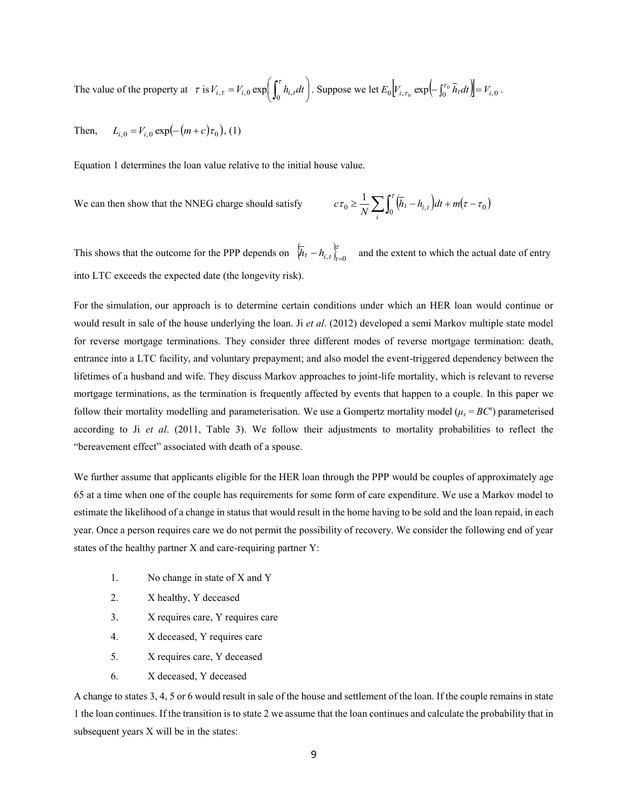The value of the property at  $\tau$  is  $V_{i\tau} = V_{i0} \exp \left[-h_{i\tau} dt\right]$ J  $\left(\int_{t_i}^{t} h_{i,t} dt\right)$ l  $V_{i,\tau} = V_{i,0} \exp\left(\int_0^{\tau} h_{i,t} dt\right)$  $\mathcal{L}_{\tau} = V_{i,0} \exp\left(\int_0^{\tau} h_{i,t} dt\right)$ . Suppose we let  $E_0 \left[ V_{i,\tau_0} \exp\left(-\int_0^{\tau_0} \overline{h}_t dt\right) \right] = V_{i,0}$ .

Then,  $L_{i,0} = V_{i,0} \exp(-(m+c)\tau_0)$ , (1)

Equation 1 determines the loan value relative to the initial house value.

We can then show that the NNEG charge should satisfy

$$
c\tau_0 \ge \frac{1}{N} \sum_i \int_0^{\tau} (\overline{h}_t - h_{i,t}) dt + m(\tau - \tau_0)
$$

This shows that the outcome for the PPP depends on  $\[\overline{h}_t - h_{i,t}\]_{t=0}^{\{r\}}\]$  and the extent to which the actual date of entry into LTC exceeds the expected date (the longevity risk).

For the simulation, our approach is to determine certain conditions under which an HER loan would continue or would result in sale of the house underlying the loan. Ji *et al*. (2012) developed a semi Markov multiple state model for reverse mortgage terminations. They consider three different modes of reverse mortgage termination: death, entrance into a LTC facility, and voluntary prepayment; and also model the event-triggered dependency between the lifetimes of a husband and wife. They discuss Markov approaches to joint-life mortality, which is relevant to reverse mortgage terminations, as the termination is frequently affected by events that happen to a couple. In this paper we follow their mortality modelling and parameterisation. We use a Gompertz mortality model  $(\mu_x = BC^x)$  parameterised according to Ji *et al*. (2011, Table 3). We follow their adjustments to mortality probabilities to reflect the "bereavement effect" associated with death of a spouse.

We further assume that applicants eligible for the HER loan through the PPP would be couples of approximately age 65 at a time when one of the couple has requirements for some form of care expenditure. We use a Markov model to estimate the likelihood of a change in status that would result in the home having to be sold and the loan repaid, in each year. Once a person requires care we do not permit the possibility of recovery. We consider the following end of year states of the healthy partner X and care-requiring partner Y:

- 1. No change in state of X and Y
- 2. X healthy, Y deceased
- 3. X requires care, Y requires care
- 4. X deceased, Y requires care
- 5. X requires care, Y deceased
- 6. X deceased, Y deceased

A change to states 3, 4, 5 or 6 would result in sale of the house and settlement of the loan. If the couple remains in state 1 the loan continues. If the transition is to state 2 we assume that the loan continues and calculate the probability that in subsequent years X will be in the states: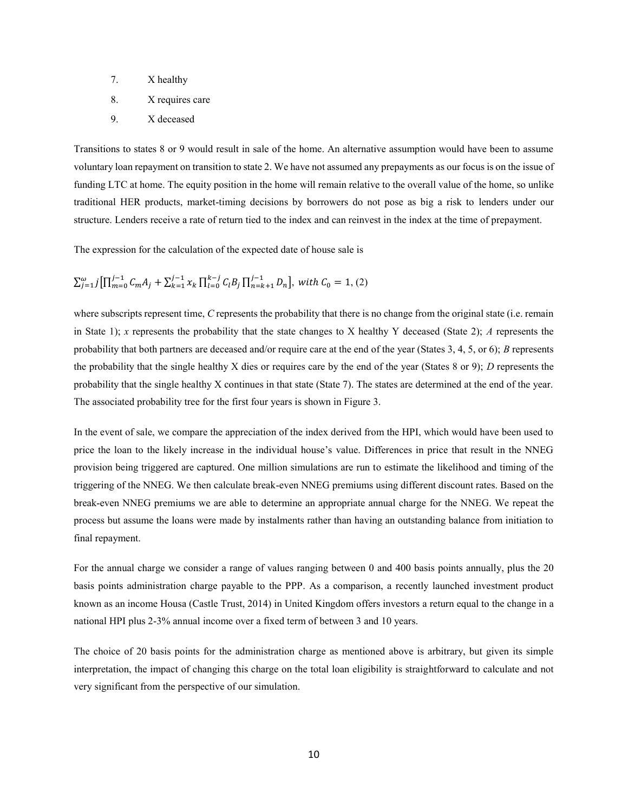- 7. X healthy
- 8. X requires care
- 9. X deceased

Transitions to states 8 or 9 would result in sale of the home. An alternative assumption would have been to assume voluntary loan repayment on transition to state 2. We have not assumed any prepayments as our focus is on the issue of funding LTC at home. The equity position in the home will remain relative to the overall value of the home, so unlike traditional HER products, market-timing decisions by borrowers do not pose as big a risk to lenders under our structure. Lenders receive a rate of return tied to the index and can reinvest in the index at the time of prepayment.

The expression for the calculation of the expected date of house sale is

 $\sum_{j=1}^{\omega} j \left[ \prod_{m=0}^{j-1} C_m A_j + \sum_{k=1}^{j-1} \chi_k \prod_{l=0}^{k-j} C_l B_j \prod_{n=k+1}^{j-1} D_n \right]$ , with  $C_0 = 1$ , (2)

where subscripts represent time, *C* represents the probability that there is no change from the original state (i.e. remain in State 1); *x* represents the probability that the state changes to X healthy Y deceased (State 2); *A* represents the probability that both partners are deceased and/or require care at the end of the year (States 3, 4, 5, or 6); *B* represents the probability that the single healthy X dies or requires care by the end of the year (States 8 or 9); *D* represents the probability that the single healthy X continues in that state (State 7). The states are determined at the end of the year. The associated probability tree for the first four years is shown in Figure 3.

In the event of sale, we compare the appreciation of the index derived from the HPI, which would have been used to price the loan to the likely increase in the individual house's value. Differences in price that result in the NNEG provision being triggered are captured. One million simulations are run to estimate the likelihood and timing of the triggering of the NNEG. We then calculate break-even NNEG premiums using different discount rates. Based on the break-even NNEG premiums we are able to determine an appropriate annual charge for the NNEG. We repeat the process but assume the loans were made by instalments rather than having an outstanding balance from initiation to final repayment.

For the annual charge we consider a range of values ranging between 0 and 400 basis points annually, plus the 20 basis points administration charge payable to the PPP. As a comparison, a recently launched investment product known as an income Housa (Castle Trust, 2014) in United Kingdom offers investors a return equal to the change in a national HPI plus 2-3% annual income over a fixed term of between 3 and 10 years.

The choice of 20 basis points for the administration charge as mentioned above is arbitrary, but given its simple interpretation, the impact of changing this charge on the total loan eligibility is straightforward to calculate and not very significant from the perspective of our simulation.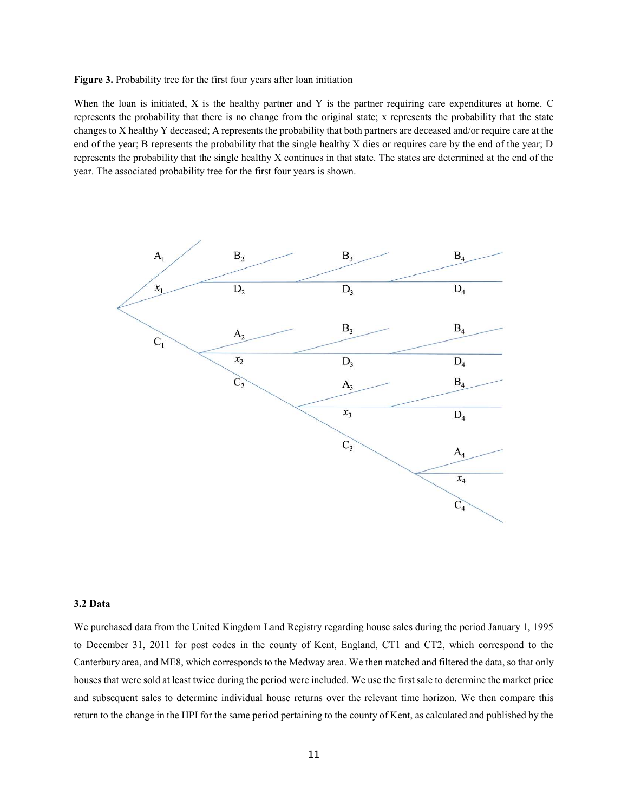Figure 3. Probability tree for the first four years after loan initiation

When the loan is initiated, X is the healthy partner and Y is the partner requiring care expenditures at home. C represents the probability that there is no change from the original state; x represents the probability that the state changes to X healthy Y deceased; A represents the probability that both partners are deceased and/or require care at the end of the year; B represents the probability that the single healthy X dies or requires care by the end of the year; D represents the probability that the single healthy X continues in that state. The states are determined at the end of the year. The associated probability tree for the first four years is shown.



#### **3.2 Data**

We purchased data from the United Kingdom Land Registry regarding house sales during the period January 1, 1995 to December 31, 2011 for post codes in the county of Kent, England, CT1 and CT2, which correspond to the Canterbury area, and ME8, which corresponds to the Medway area. We then matched and filtered the data, so that only houses that were sold at least twice during the period were included. We use the first sale to determine the market price and subsequent sales to determine individual house returns over the relevant time horizon. We then compare this return to the change in the HPI for the same period pertaining to the county of Kent, as calculated and published by the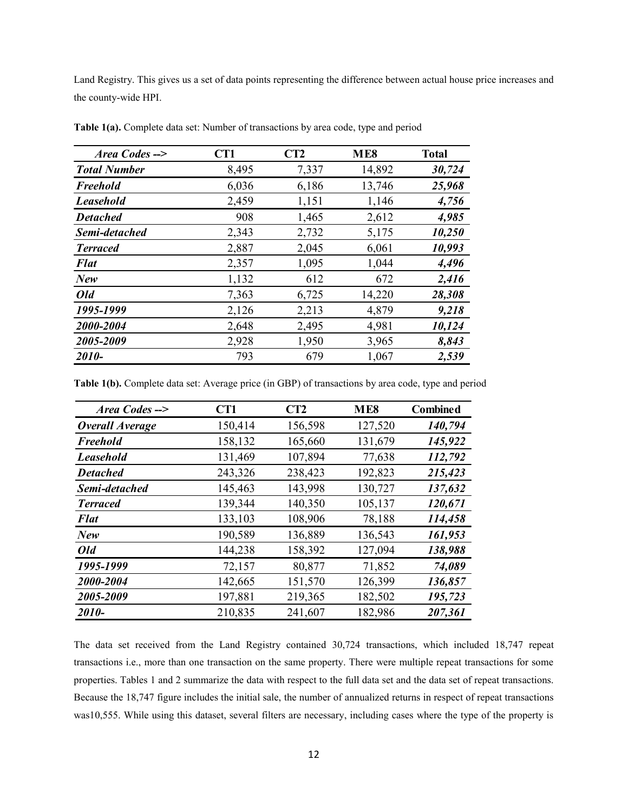Land Registry. This gives us a set of data points representing the difference between actual house price increases and the county-wide HPI.

| Area Codes -->      | CT1   | CT2   | ME8    | <b>Total</b> |
|---------------------|-------|-------|--------|--------------|
| <b>Total Number</b> | 8,495 | 7,337 | 14,892 | 30,724       |
| Freehold            | 6,036 | 6,186 | 13,746 | 25,968       |
| <b>Leasehold</b>    | 2,459 | 1,151 | 1,146  | 4,756        |
| <b>Detached</b>     | 908   | 1,465 | 2,612  | 4,985        |
| Semi-detached       | 2,343 | 2,732 | 5,175  | 10,250       |
| <b>Terraced</b>     | 2,887 | 2,045 | 6,061  | 10,993       |
| <b>Flat</b>         | 2,357 | 1,095 | 1,044  | 4,496        |
| New                 | 1,132 | 612   | 672    | 2,416        |
| Old                 | 7,363 | 6,725 | 14,220 | 28,308       |
| 1995-1999           | 2,126 | 2,213 | 4,879  | 9,218        |
| 2000-2004           | 2,648 | 2,495 | 4,981  | 10,124       |
| 2005-2009           | 2,928 | 1,950 | 3,965  | 8,843        |
| 2010-               | 793   | 679   | 1,067  | 2,539        |

**Table 1(a).** Complete data set: Number of transactions by area code, type and period

**Table 1(b).** Complete data set: Average price (in GBP) of transactions by area code, type and period

| Area Codes -->         | CT1     | CT2     | ME <sub>8</sub> | <b>Combined</b> |
|------------------------|---------|---------|-----------------|-----------------|
| <b>Overall Average</b> | 150,414 | 156,598 | 127,520         | 140,794         |
| Freehold               | 158,132 | 165,660 | 131,679         | 145,922         |
| <b>Leasehold</b>       | 131,469 | 107,894 | 77,638          | 112,792         |
| <b>Detached</b>        | 243,326 | 238,423 | 192,823         | 215,423         |
| Semi-detached          | 145,463 | 143,998 | 130,727         | 137,632         |
| <b>Terraced</b>        | 139,344 | 140,350 | 105,137         | 120,671         |
| <b>Flat</b>            | 133,103 | 108,906 | 78,188          | 114,458         |
| New                    | 190,589 | 136,889 | 136,543         | 161,953         |
| Old                    | 144,238 | 158,392 | 127,094         | 138,988         |
| 1995-1999              | 72,157  | 80,877  | 71,852          | 74,089          |
| 2000-2004              | 142,665 | 151,570 | 126,399         | 136,857         |
| 2005-2009              | 197,881 | 219,365 | 182,502         | 195,723         |
| 2010-                  | 210,835 | 241,607 | 182,986         | 207,361         |

The data set received from the Land Registry contained 30,724 transactions, which included 18,747 repeat transactions i.e., more than one transaction on the same property. There were multiple repeat transactions for some properties. Tables 1 and 2 summarize the data with respect to the full data set and the data set of repeat transactions. Because the 18,747 figure includes the initial sale, the number of annualized returns in respect of repeat transactions was10,555. While using this dataset, several filters are necessary, including cases where the type of the property is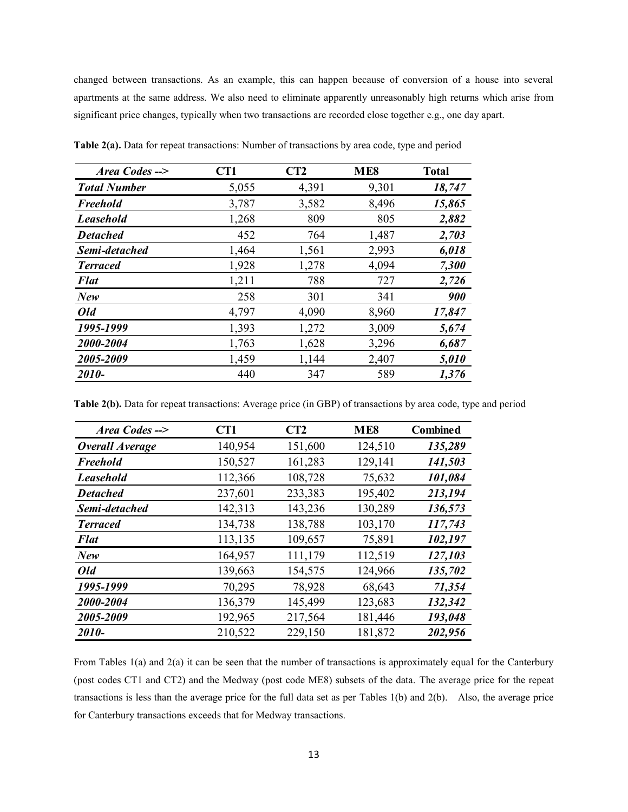changed between transactions. As an example, this can happen because of conversion of a house into several apartments at the same address. We also need to eliminate apparently unreasonably high returns which arise from significant price changes, typically when two transactions are recorded close together e.g., one day apart.

| Area Codes -->      | CT1   | CT2   | ME8   | <b>Total</b> |
|---------------------|-------|-------|-------|--------------|
| <b>Total Number</b> | 5,055 | 4,391 | 9,301 | 18,747       |
| Freehold            | 3,787 | 3,582 | 8,496 | 15,865       |
| <b>Leasehold</b>    | 1,268 | 809   | 805   | 2,882        |
| <b>Detached</b>     | 452   | 764   | 1,487 | 2,703        |
| Semi-detached       | 1,464 | 1,561 | 2,993 | 6,018        |
| <b>Terraced</b>     | 1,928 | 1,278 | 4,094 | 7,300        |
| <b>Flat</b>         | 1,211 | 788   | 727   | 2,726        |
| New                 | 258   | 301   | 341   | 900          |
| Old                 | 4,797 | 4,090 | 8,960 | 17,847       |
| 1995-1999           | 1,393 | 1,272 | 3,009 | 5,674        |
| 2000-2004           | 1,763 | 1,628 | 3,296 | 6,687        |
| 2005-2009           | 1,459 | 1,144 | 2,407 | 5,010        |
| 2010-               | 440   | 347   | 589   | 1,376        |

**Table 2(a).** Data for repeat transactions: Number of transactions by area code, type and period

**Table 2(b).** Data for repeat transactions: Average price (in GBP) of transactions by area code, type and period

| Area Codes -->         | CT1     | CT2     | ME <sub>8</sub> | <b>Combined</b> |
|------------------------|---------|---------|-----------------|-----------------|
| <b>Overall Average</b> | 140,954 | 151,600 | 124,510         | 135,289         |
| Freehold               | 150,527 | 161,283 | 129,141         | 141,503         |
| <b>Leasehold</b>       | 112,366 | 108,728 | 75,632          | 101,084         |
| <b>Detached</b>        | 237,601 | 233,383 | 195,402         | 213,194         |
| Semi-detached          | 142,313 | 143,236 | 130,289         | 136,573         |
| <b>Terraced</b>        | 134,738 | 138,788 | 103,170         | 117,743         |
| <b>Flat</b>            | 113,135 | 109,657 | 75,891          | 102,197         |
| New                    | 164,957 | 111,179 | 112,519         | 127,103         |
| Old                    | 139,663 | 154,575 | 124,966         | 135,702         |
| 1995-1999              | 70,295  | 78,928  | 68,643          | 71,354          |
| 2000-2004              | 136,379 | 145,499 | 123,683         | 132,342         |
| 2005-2009              | 192,965 | 217,564 | 181,446         | 193,048         |
| 2010-                  | 210,522 | 229,150 | 181,872         | 202,956         |

From Tables 1(a) and 2(a) it can be seen that the number of transactions is approximately equal for the Canterbury (post codes CT1 and CT2) and the Medway (post code ME8) subsets of the data. The average price for the repeat transactions is less than the average price for the full data set as per Tables 1(b) and 2(b). Also, the average price for Canterbury transactions exceeds that for Medway transactions.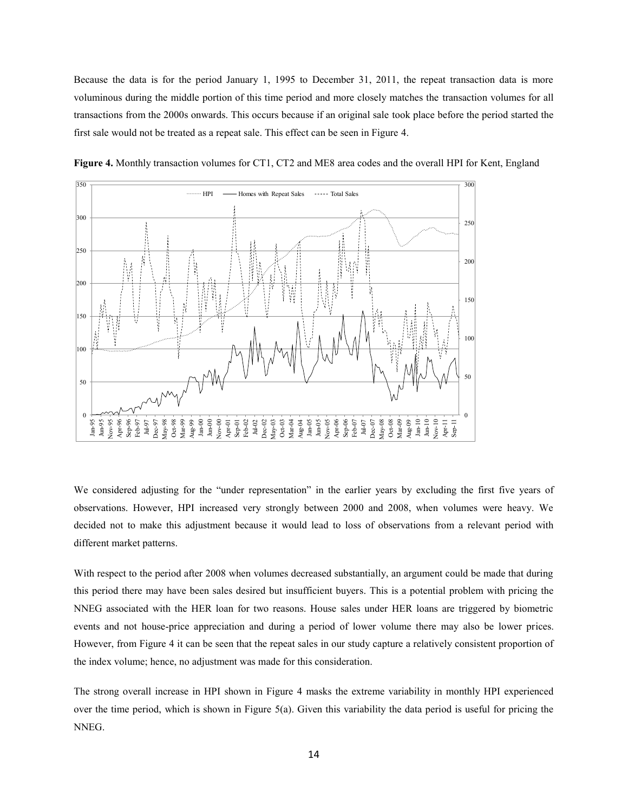Because the data is for the period January 1, 1995 to December 31, 2011, the repeat transaction data is more voluminous during the middle portion of this time period and more closely matches the transaction volumes for all transactions from the 2000s onwards. This occurs because if an original sale took place before the period started the first sale would not be treated as a repeat sale. This effect can be seen in Figure 4.





We considered adjusting for the "under representation" in the earlier years by excluding the first five years of observations. However, HPI increased very strongly between 2000 and 2008, when volumes were heavy. We decided not to make this adjustment because it would lead to loss of observations from a relevant period with different market patterns.

With respect to the period after 2008 when volumes decreased substantially, an argument could be made that during this period there may have been sales desired but insufficient buyers. This is a potential problem with pricing the NNEG associated with the HER loan for two reasons. House sales under HER loans are triggered by biometric events and not house-price appreciation and during a period of lower volume there may also be lower prices. However, from Figure 4 it can be seen that the repeat sales in our study capture a relatively consistent proportion of the index volume; hence, no adjustment was made for this consideration.

The strong overall increase in HPI shown in Figure 4 masks the extreme variability in monthly HPI experienced over the time period, which is shown in Figure  $5(a)$ . Given this variability the data period is useful for pricing the NNEG.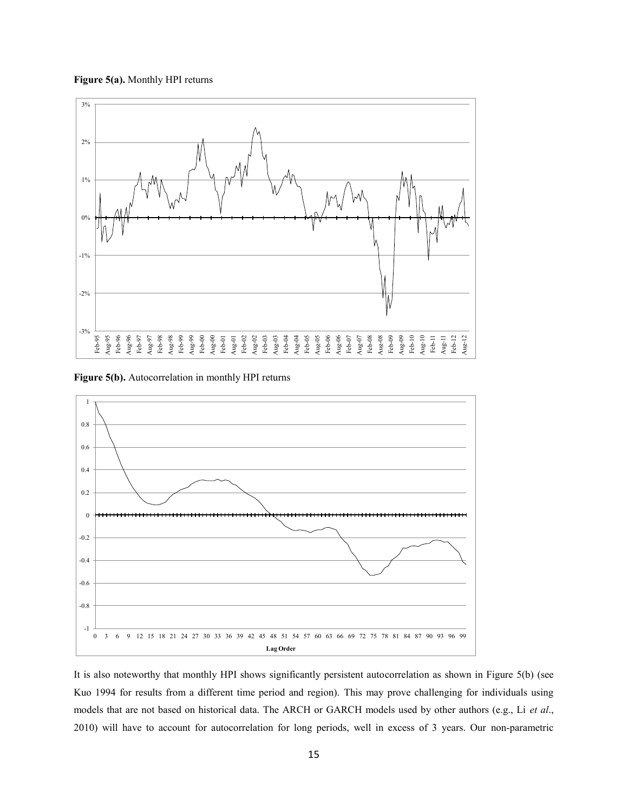



**Figure 5(b).** Autocorrelation in monthly HPI returns



It is also noteworthy that monthly HPI shows significantly persistent autocorrelation as shown in Figure 5(b) (see Kuo 1994 for results from a different time period and region). This may prove challenging for individuals using models that are not based on historical data. The ARCH or GARCH models used by other authors (e.g., Li *et al*., 2010) will have to account for autocorrelation for long periods, well in excess of 3 years. Our non-parametric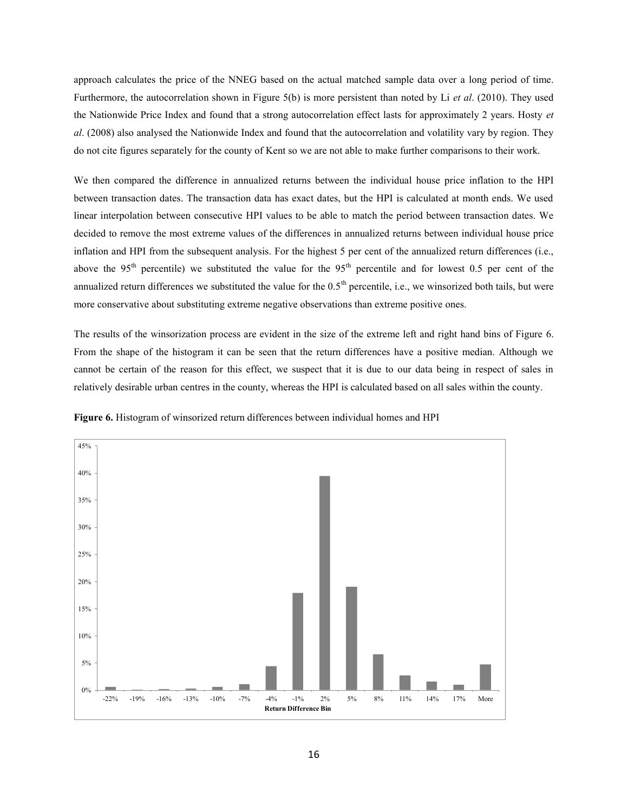approach calculates the price of the NNEG based on the actual matched sample data over a long period of time. Furthermore, the autocorrelation shown in Figure 5(b) is more persistent than noted by Li *et al*. (2010). They used the Nationwide Price Index and found that a strong autocorrelation effect lasts for approximately 2 years. Hosty *et al*. (2008) also analysed the Nationwide Index and found that the autocorrelation and volatility vary by region. They do not cite figures separately for the county of Kent so we are not able to make further comparisons to their work.

We then compared the difference in annualized returns between the individual house price inflation to the HPI between transaction dates. The transaction data has exact dates, but the HPI is calculated at month ends. We used linear interpolation between consecutive HPI values to be able to match the period between transaction dates. We decided to remove the most extreme values of the differences in annualized returns between individual house price inflation and HPI from the subsequent analysis. For the highest 5 per cent of the annualized return differences (i.e., above the 95<sup>th</sup> percentile) we substituted the value for the 95<sup>th</sup> percentile and for lowest 0.5 per cent of the annualized return differences we substituted the value for the  $0.5<sup>th</sup>$  percentile, i.e., we winsorized both tails, but were more conservative about substituting extreme negative observations than extreme positive ones.

The results of the winsorization process are evident in the size of the extreme left and right hand bins of Figure 6. From the shape of the histogram it can be seen that the return differences have a positive median. Although we cannot be certain of the reason for this effect, we suspect that it is due to our data being in respect of sales in relatively desirable urban centres in the county, whereas the HPI is calculated based on all sales within the county.



Figure 6. Histogram of winsorized return differences between individual homes and HPI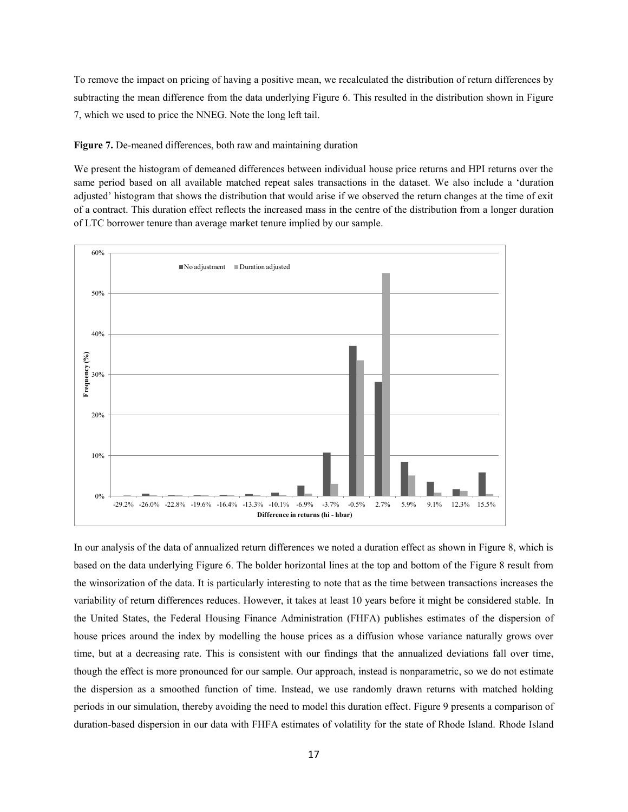To remove the impact on pricing of having a positive mean, we recalculated the distribution of return differences by subtracting the mean difference from the data underlying Figure 6. This resulted in the distribution shown in Figure 7, which we used to price the NNEG. Note the long left tail.

**Figure 7.** De-meaned differences, both raw and maintaining duration

We present the histogram of demeaned differences between individual house price returns and HPI returns over the same period based on all available matched repeat sales transactions in the dataset. We also include a 'duration adjusted' histogram that shows the distribution that would arise if we observed the return changes at the time of exit of a contract. This duration effect reflects the increased mass in the centre of the distribution from a longer duration of LTC borrower tenure than average market tenure implied by our sample.



In our analysis of the data of annualized return differences we noted a duration effect as shown in Figure 8, which is based on the data underlying Figure 6. The bolder horizontal lines at the top and bottom of the Figure 8 result from the winsorization of the data. It is particularly interesting to note that as the time between transactions increases the variability of return differences reduces. However, it takes at least 10 years before it might be considered stable. In the United States, the Federal Housing Finance Administration (FHFA) publishes estimates of the dispersion of house prices around the index by modelling the house prices as a diffusion whose variance naturally grows over time, but at a decreasing rate. This is consistent with our findings that the annualized deviations fall over time, though the effect is more pronounced for our sample. Our approach, instead is nonparametric, so we do not estimate the dispersion as a smoothed function of time. Instead, we use randomly drawn returns with matched holding periods in our simulation, thereby avoiding the need to model this duration effect. Figure 9 presents a comparison of duration-based dispersion in our data with FHFA estimates of volatility for the state of Rhode Island. Rhode Island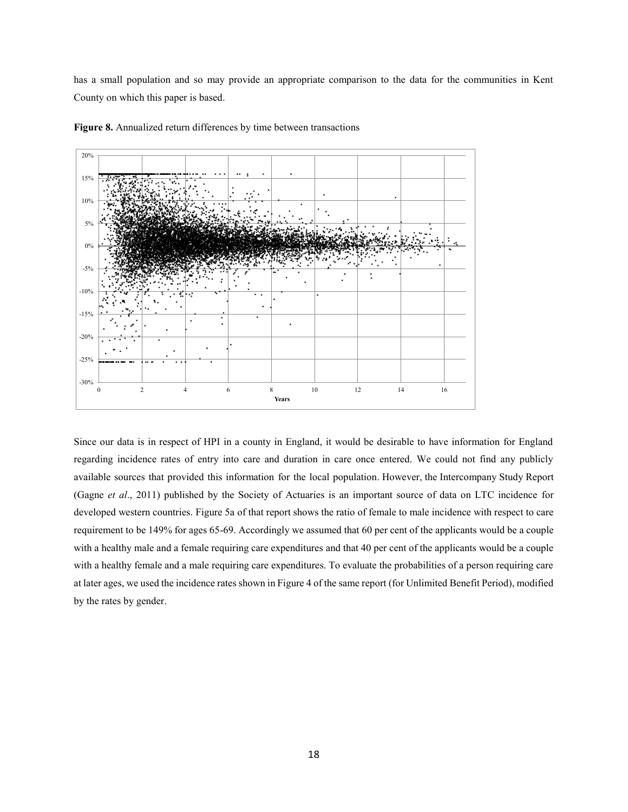has a small population and so may provide an appropriate comparison to the data for the communities in Kent County on which this paper is based.



**Figure 8.** Annualized return differences by time between transactions

Since our data is in respect of HPI in a county in England, it would be desirable to have information for England regarding incidence rates of entry into care and duration in care once entered. We could not find any publicly available sources that provided this information for the local population. However, the Intercompany Study Report (Gagne *et al*., 2011) published by the Society of Actuaries is an important source of data on LTC incidence for developed western countries. Figure 5a of that report shows the ratio of female to male incidence with respect to care requirement to be 149% for ages 65-69. Accordingly we assumed that 60 per cent of the applicants would be a couple with a healthy male and a female requiring care expenditures and that 40 per cent of the applicants would be a couple with a healthy female and a male requiring care expenditures. To evaluate the probabilities of a person requiring care at later ages, we used the incidence rates shown in Figure 4 of the same report (for Unlimited Benefit Period), modified by the rates by gender.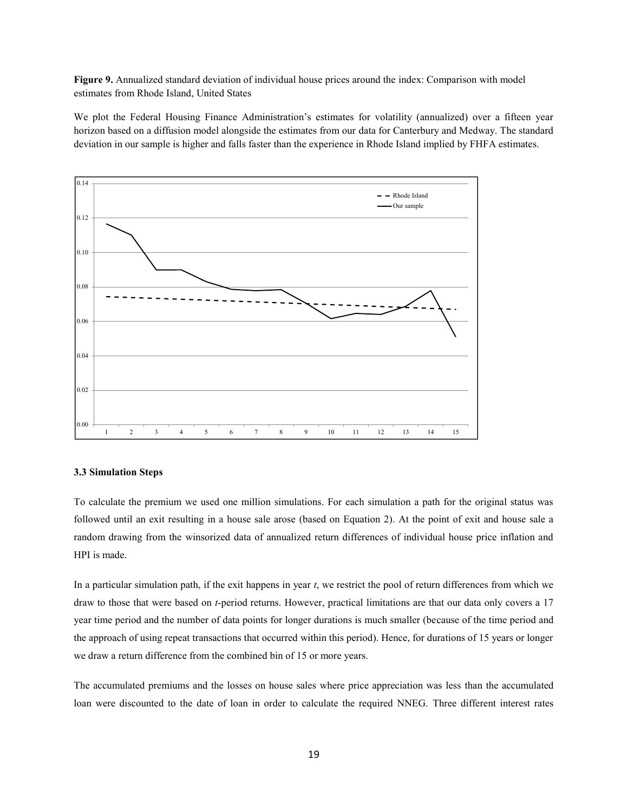**Figure 9.** Annualized standard deviation of individual house prices around the index: Comparison with model estimates from Rhode Island, United States

We plot the Federal Housing Finance Administration's estimates for volatility (annualized) over a fifteen year horizon based on a diffusion model alongside the estimates from our data for Canterbury and Medway. The standard deviation in our sample is higher and falls faster than the experience in Rhode Island implied by FHFA estimates.



#### **3.3 Simulation Steps**

To calculate the premium we used one million simulations. For each simulation a path for the original status was followed until an exit resulting in a house sale arose (based on Equation 2). At the point of exit and house sale a random drawing from the winsorized data of annualized return differences of individual house price inflation and HPI is made.

In a particular simulation path, if the exit happens in year *t*, we restrict the pool of return differences from which we draw to those that were based on *t*-period returns. However, practical limitations are that our data only covers a 17 year time period and the number of data points for longer durations is much smaller (because of the time period and the approach of using repeat transactions that occurred within this period). Hence, for durations of 15 years or longer we draw a return difference from the combined bin of 15 or more years.

The accumulated premiums and the losses on house sales where price appreciation was less than the accumulated loan were discounted to the date of loan in order to calculate the required NNEG. Three different interest rates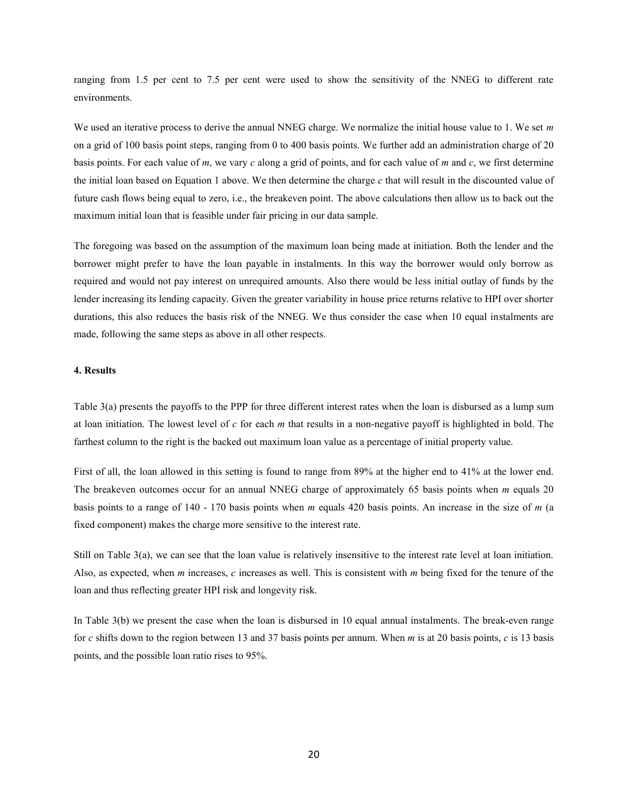ranging from 1.5 per cent to 7.5 per cent were used to show the sensitivity of the NNEG to different rate environments.

We used an iterative process to derive the annual NNEG charge. We normalize the initial house value to 1. We set *m* on a grid of 100 basis point steps, ranging from 0 to 400 basis points. We further add an administration charge of 20 basis points. For each value of *m*, we vary *c* along a grid of points, and for each value of *m* and *c*, we first determine the initial loan based on Equation 1 above. We then determine the charge *c* that will result in the discounted value of future cash flows being equal to zero, i.e., the breakeven point. The above calculations then allow us to back out the maximum initial loan that is feasible under fair pricing in our data sample.

The foregoing was based on the assumption of the maximum loan being made at initiation. Both the lender and the borrower might prefer to have the loan payable in instalments. In this way the borrower would only borrow as required and would not pay interest on unrequired amounts. Also there would be less initial outlay of funds by the lender increasing its lending capacity. Given the greater variability in house price returns relative to HPI over shorter durations, this also reduces the basis risk of the NNEG. We thus consider the case when 10 equal instalments are made, following the same steps as above in all other respects.

#### **4. Results**

Table 3(a) presents the payoffs to the PPP for three different interest rates when the loan is disbursed as a lump sum at loan initiation. The lowest level of *c* for each *m* that results in a non-negative payoff is highlighted in bold. The farthest column to the right is the backed out maximum loan value as a percentage of initial property value.

First of all, the loan allowed in this setting is found to range from 89% at the higher end to 41% at the lower end. The breakeven outcomes occur for an annual NNEG charge of approximately 65 basis points when *m* equals 20 basis points to a range of 140 - 170 basis points when *m* equals 420 basis points. An increase in the size of *m* (a fixed component) makes the charge more sensitive to the interest rate.

Still on Table 3(a), we can see that the loan value is relatively insensitive to the interest rate level at loan initiation. Also, as expected, when *m* increases, *c* increases as well. This is consistent with *m* being fixed for the tenure of the loan and thus reflecting greater HPI risk and longevity risk.

In Table 3(b) we present the case when the loan is disbursed in 10 equal annual instalments. The break-even range for *c* shifts down to the region between 13 and 37 basis points per annum. When *m* is at 20 basis points, *c* is 13 basis points, and the possible loan ratio rises to 95%.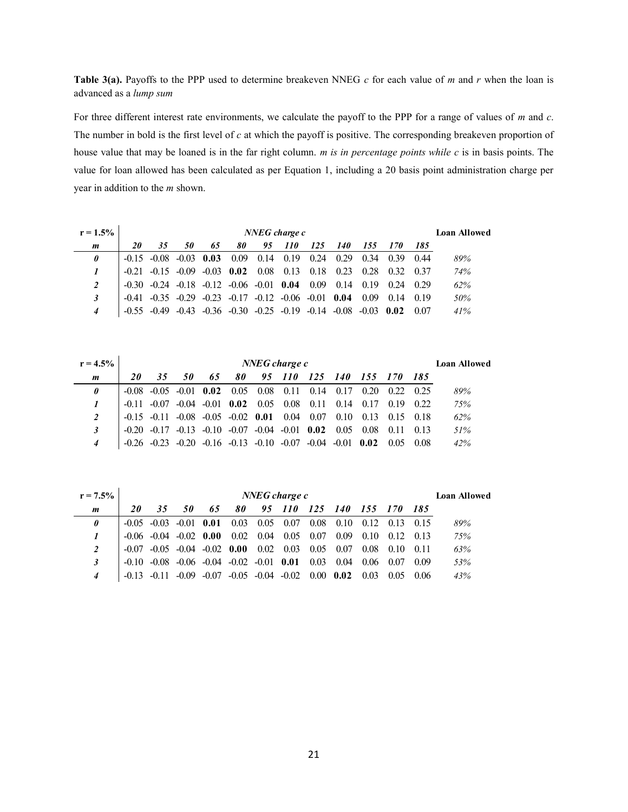**Table 3(a).** Payoffs to the PPP used to determine breakeven NNEG *c* for each value of *m* and *r* when the loan is advanced as a *lump sum* 

For three different interest rate environments, we calculate the payoff to the PPP for a range of values of *m* and *c*. The number in bold is the first level of *c* at which the payoff is positive. The corresponding breakeven proportion of house value that may be loaned is in the far right column. *m is in percentage points while c* is in basis points. The value for loan allowed has been calculated as per Equation 1, including a 20 basis point administration charge per year in addition to the *m* shown.

| $r = 1.5\%$ |    | NNEG charge c           |                                                        |              |                |    |             |                                                 |            |              |      |       |     |  |
|-------------|----|-------------------------|--------------------------------------------------------|--------------|----------------|----|-------------|-------------------------------------------------|------------|--------------|------|-------|-----|--|
| m           | 20 | 35                      | 50                                                     | 65           | 80             | 95 | <i>110</i>  | 125                                             | <i>140</i> | 155          | 170  | - 185 |     |  |
| 0           |    | $-0.15$ $-0.08$ $-0.03$ |                                                        | 0.03         | 0.09           |    | $0.14$ 0.19 | 0.24                                            | 0.29       | 0.34         | 0.39 | 0.44  | 89% |  |
|             |    |                         | $-0.21$ $-0.15$ $-0.09$                                | $-0.03$ 0.02 |                |    | $0.08$ 0.13 | 0.18                                            | 0.23       | 0.28         | 0.32 | 0.37  | 74% |  |
| 2           |    |                         | $-0.30$ $-0.24$ $-0.18$ $-0.12$ $-0.06$ $-0.01$ $0.04$ |              |                |    |             | 0.09                                            | 0.14       | 0.19         | 0.24 | 0.29  | 62% |  |
| 3           |    |                         | $-0.41$ $-0.35$ $-0.29$                                |              | $-0.23 - 0.17$ |    |             | $-0.12$ $-0.06$ $-0.01$ 0.04                    |            | 0.09         | 0.14 | 0.19  | 50% |  |
| 4           |    | $-0.49$                 | $-0.43$                                                |              |                |    |             | $-0.36$ $-0.30$ $-0.25$ $-0.19$ $-0.14$ $-0.08$ |            | $-0.03$ 0.02 |      | 0.07  | 41% |  |

| $r = 4.5\%$ |                                                                                | NNEG charge c<br><b>Loan Allowed</b> |    |                                |    |        |  |         |                                                                            |             |                   |             |     |  |
|-------------|--------------------------------------------------------------------------------|--------------------------------------|----|--------------------------------|----|--------|--|---------|----------------------------------------------------------------------------|-------------|-------------------|-------------|-----|--|
| m           | <i>20</i>                                                                      | 35                                   | 50 | 65                             | 80 | 95 110 |  | 125 140 |                                                                            | 155 170 185 |                   |             |     |  |
| 0           |                                                                                |                                      |    | $-0.08$ $-0.05$ $-0.01$ $0.02$ |    |        |  |         | $0.05$ $0.08$ $0.11$ $0.14$ $0.17$ $0.20$                                  |             | 0.22 0.25         |             | 89% |  |
|             |                                                                                |                                      |    |                                |    |        |  |         | $-0.11$ $-0.07$ $-0.04$ $-0.01$ $0.02$ $0.05$ $0.08$ $0.11$ $0.14$ $0.17$  |             |                   | $0.19$ 0.22 | 75% |  |
| 2           |                                                                                |                                      |    |                                |    |        |  |         | $-0.15$ $-0.11$ $-0.08$ $-0.05$ $-0.02$ $0.01$ $0.04$ $0.07$ $0.10$ $0.13$ |             | 0.15 0.18         |             | 62% |  |
|             | $-0.20$ $-0.17$ $-0.13$ $-0.10$ $-0.07$ $-0.04$ $-0.01$ $0.02$ $0.05$ $0.08$   |                                      |    |                                |    |        |  |         |                                                                            |             | $0.11 \quad 0.13$ |             | 51% |  |
|             | $-0.26$ $-0.23$ $-0.20$ $-0.16$ $-0.13$ $-0.10$ $-0.07$ $-0.04$ $-0.01$ $0.02$ |                                      |    |                                |    |        |  |         |                                                                            |             | 0.05 0.08         |             | 42% |  |

| $r = 7.5\%$  |         | $NNEG$ charge $c$<br><b>Loan Allowed</b> |    |                                                        |    |                              |                                                       |         |                   |      |             |      |     |  |
|--------------|---------|------------------------------------------|----|--------------------------------------------------------|----|------------------------------|-------------------------------------------------------|---------|-------------------|------|-------------|------|-----|--|
| m            | 20      | 35                                       | 50 | 65                                                     | 80 |                              | 95 110                                                | 125 140 |                   |      | 155 170 185 |      |     |  |
| $\theta$     |         | $-0.05$ $-0.03$ $-0.01$ 0.01             |    |                                                        |    |                              | $0.03$ 0.05 0.07                                      | 0.08    | $0.10 \quad 0.12$ |      | 0.13 0.15   |      | 89% |  |
| $\mathbf{I}$ |         | $-0.06$ $-0.04$ $-0.02$ 0.00             |    |                                                        |    | $0.02 \quad 0.04 \quad 0.05$ |                                                       | 0.07    | 0.09              | 0.10 | 0.12        | 0.13 | 75% |  |
| 2            | -0.07   |                                          |    | $-0.05$ $-0.04$ $-0.02$ $0.00$ $0.02$ $0.03$           |    |                              |                                                       | 0.05    | 0.07              | 0.08 | 0.10        | 0.11 | 63% |  |
| 3            |         |                                          |    | $-0.10$ $-0.08$ $-0.06$ $-0.04$ $-0.02$ $-0.01$ $0.01$ |    |                              |                                                       | 0.03    | 0.04              | 0.06 | 0.07        | 0.09 | 53% |  |
| 4            | $-0.13$ |                                          |    |                                                        |    |                              | $-0.09$ $-0.07$ $-0.05$ $-0.04$ $-0.02$ $0.00$ $0.02$ |         |                   | 0.03 | 0.05        | 006  | 43% |  |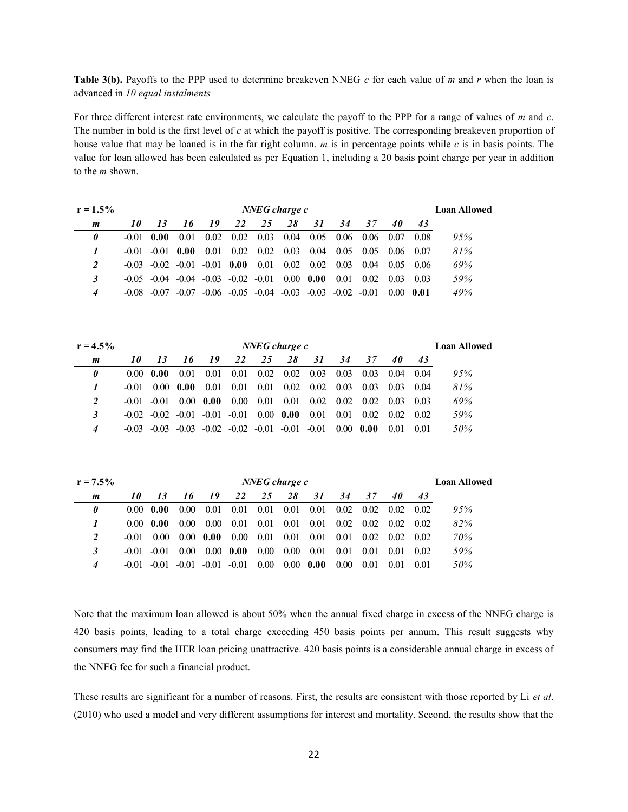**Table 3(b).** Payoffs to the PPP used to determine breakeven NNEG *c* for each value of *m* and *r* when the loan is advanced in *10 equal instalments* 

For three different interest rate environments, we calculate the payoff to the PPP for a range of values of *m* and *c*. The number in bold is the first level of *c* at which the payoff is positive. The corresponding breakeven proportion of house value that may be loaned is in the far right column. *m* is in percentage points while *c* is in basis points. The value for loan allowed has been calculated as per Equation 1, including a 20 basis point charge per year in addition to the *m* shown.

| $r = 1.5\%$ |              | $NNEG$ charge $c$<br><b>Loan Allowed</b> |       |                                                               |      |                  |                   |      |                                                 |         |      |        |     |  |
|-------------|--------------|------------------------------------------|-------|---------------------------------------------------------------|------|------------------|-------------------|------|-------------------------------------------------|---------|------|--------|-----|--|
| m           | 10           | 13                                       | 16    | 19                                                            | 22   | 25               | 28                | 31   | 34                                              | 37      | 40   | 43     |     |  |
| 0           | $-0.01$ 0.00 |                                          | 0.01  | 0.02                                                          |      | $0.02$ 0.03 0.04 |                   | 0.05 | 0.06                                            | 0.06    | 0.07 | 0.08   | 95% |  |
|             |              | $-0.01 - 0.01$ 0.00                      |       | 0.01                                                          | 0.02 |                  | $0.02 \quad 0.03$ | 0.04 | 0.05                                            | 0.05    | 0.06 | - 0.07 | 81% |  |
| 2           |              |                                          |       | $-0.03$ $-0.02$ $-0.01$ $-0.01$ 0.00                          |      | 0.01             | 0.02              | 0.02 | 0.03                                            | 0.04    | 0.05 | - 0.06 | 69% |  |
| 3           |              |                                          |       | $-0.05$ $-0.04$ $-0.04$ $-0.03$ $-0.02$ $-0.01$ $0.00$ $0.00$ |      |                  |                   |      | 0.01                                            | 0.02    | 0.03 | 0.03   | 59% |  |
| 4           | -0.08        | -0.07                                    | -0.07 |                                                               |      |                  |                   |      | $-0.06$ $-0.05$ $-0.04$ $-0.03$ $-0.03$ $-0.02$ | $-0.01$ | 0.00 | -0.01  | 49% |  |

| $r = 4.5\%$ |         | NNEG charge c<br><b>Loan Allowed</b> |                   |      |                                                                 |                   |    |                                              |              |      |                   |      |     |
|-------------|---------|--------------------------------------|-------------------|------|-----------------------------------------------------------------|-------------------|----|----------------------------------------------|--------------|------|-------------------|------|-----|
| m           | 10      | 13                                   | 16                | 19   | 22                                                              | 25                | 28 | 31                                           | 34           | 37   | 40                | 43   |     |
| $\theta$    |         | $0.00 \pm 0.00$                      | 0.01              |      |                                                                 |                   |    | 0.01 0.01 0.02 0.02 0.03 0.03 0.03 0.04 0.04 |              |      |                   |      | 95% |
|             | $-0.01$ |                                      | $0.00 \quad 0.00$ | 0.01 | 0.01                                                            | $0.01 \quad 0.02$ |    | $0.02 \quad 0.03 \quad 0.03$                 |              |      | $0.03 \quad 0.04$ |      | 81% |
|             |         | $-0.01 - 0.01$                       | $0.00 \t 0.00$    |      | 0.00                                                            |                   |    | $0.01$ $0.01$ $0.02$ $0.02$ $0.02$           |              |      | $0.03 \quad 0.03$ |      | 69% |
|             |         |                                      |                   |      | $-0.02$ $-0.02$ $-0.01$ $-0.01$ $-0.01$ $0.00$ $0.00$           |                   |    | 0.01                                         | 0.01         | 0.02 | $0.02 \quad 0.02$ |      | 59% |
|             |         |                                      |                   |      | $-0.03$ $-0.03$ $-0.03$ $-0.02$ $-0.02$ $-0.01$ $-0.01$ $-0.01$ |                   |    |                                              | $0.00\ 0.00$ |      | 0.01              | 0.01 | 50% |

| $r = 7.5\%$  |              | NNEG charge c<br><b>Loan Allowed</b> |                   |                         |                   |      |          |              |      |      |                   |       |     |
|--------------|--------------|--------------------------------------|-------------------|-------------------------|-------------------|------|----------|--------------|------|------|-------------------|-------|-----|
| m            | $10^{\circ}$ | 13                                   | -16               | 19                      | 22                | 25   | 28       | 31           | 34   | 37   | 40                | 43    |     |
| 0            |              | $0.00 \pm 0.00$                      | 0.00 <sub>l</sub> | 0.01                    | 0.01              | 0.01 | 0.01     | 0.01         | 0.02 | 0.02 | $0.02 \quad 0.02$ |       | 95% |
| $\mathbf{I}$ |              | $0.00 \pm 0.00$                      | 0.00 <sub>l</sub> | $0.00^{\circ}$          | 0.01              | 0.01 | 0.01     | 0.01         | 0.02 | 0.02 | $0.02 \quad 0.02$ |       | 82% |
| 2            | -0.01        | 0.00                                 |                   | $0.00 \pm 0.00$         | 0.00              | 0.01 | 0.01     | 0.01         | 0.01 | 0.02 | $0.02 \quad 0.02$ |       | 70% |
|              | $-0.01$      | $-0.01$                              | 0.00 <sub>l</sub> |                         | $0.00 \quad 0.00$ | 0.00 | $0.00\,$ | 0.01         | 0.01 | 0.01 | 0.01              | 0.02  | 59% |
| 4            | $-0.01$      | $-0.01$                              |                   | $-0.01$ $-0.01$ $-0.01$ |                   | 0.00 |          | $0.00\ 0.00$ | 0.00 | 0.01 | 0.01              | -0.01 | 50% |

Note that the maximum loan allowed is about 50% when the annual fixed charge in excess of the NNEG charge is 420 basis points, leading to a total charge exceeding 450 basis points per annum. This result suggests why consumers may find the HER loan pricing unattractive. 420 basis points is a considerable annual charge in excess of the NNEG fee for such a financial product.

These results are significant for a number of reasons. First, the results are consistent with those reported by Li *et al*. (2010) who used a model and very different assumptions for interest and mortality. Second, the results show that the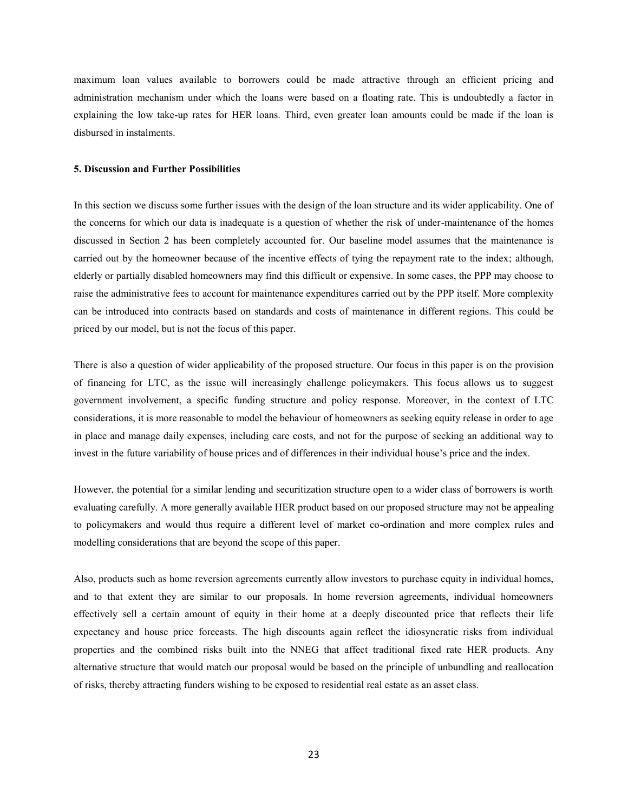maximum loan values available to borrowers could be made attractive through an efficient pricing and administration mechanism under which the loans were based on a floating rate. This is undoubtedly a factor in explaining the low take-up rates for HER loans. Third, even greater loan amounts could be made if the loan is disbursed in instalments.

#### **5. Discussion and Further Possibilities**

In this section we discuss some further issues with the design of the loan structure and its wider applicability. One of the concerns for which our data is inadequate is a question of whether the risk of under-maintenance of the homes discussed in Section 2 has been completely accounted for. Our baseline model assumes that the maintenance is carried out by the homeowner because of the incentive effects of tying the repayment rate to the index; although, elderly or partially disabled homeowners may find this difficult or expensive. In some cases, the PPP may choose to raise the administrative fees to account for maintenance expenditures carried out by the PPP itself. More complexity can be introduced into contracts based on standards and costs of maintenance in different regions. This could be priced by our model, but is not the focus of this paper.

There is also a question of wider applicability of the proposed structure. Our focus in this paper is on the provision of financing for LTC, as the issue will increasingly challenge policymakers. This focus allows us to suggest government involvement, a specific funding structure and policy response. Moreover, in the context of LTC considerations, it is more reasonable to model the behaviour of homeowners as seeking equity release in order to age in place and manage daily expenses, including care costs, and not for the purpose of seeking an additional way to invest in the future variability of house prices and of differences in their individual house's price and the index.

However, the potential for a similar lending and securitization structure open to a wider class of borrowers is worth evaluating carefully. A more generally available HER product based on our proposed structure may not be appealing to policymakers and would thus require a different level of market co-ordination and more complex rules and modelling considerations that are beyond the scope of this paper.

Also, products such as home reversion agreements currently allow investors to purchase equity in individual homes, and to that extent they are similar to our proposals. In home reversion agreements, individual homeowners effectively sell a certain amount of equity in their home at a deeply discounted price that reflects their life expectancy and house price forecasts. The high discounts again reflect the idiosyncratic risks from individual properties and the combined risks built into the NNEG that affect traditional fixed rate HER products. Any alternative structure that would match our proposal would be based on the principle of unbundling and reallocation of risks, thereby attracting funders wishing to be exposed to residential real estate as an asset class.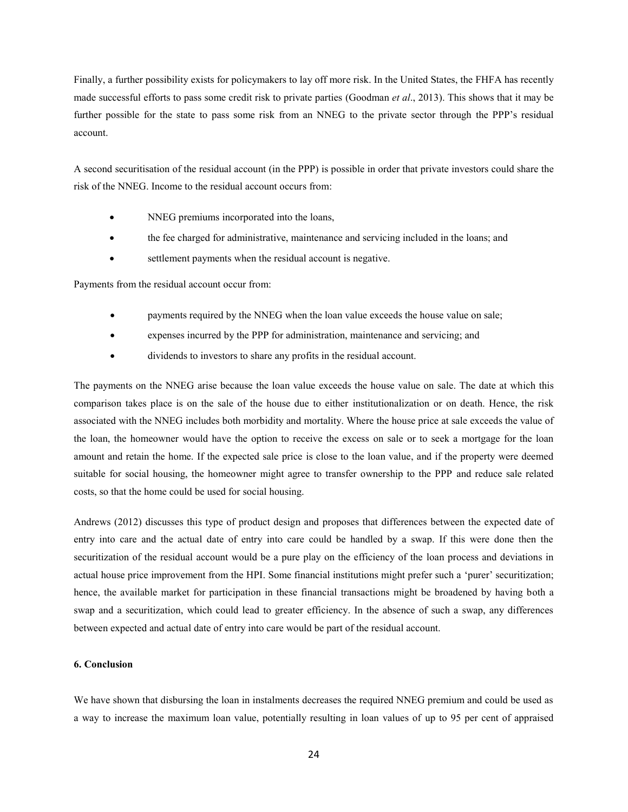Finally, a further possibility exists for policymakers to lay off more risk. In the United States, the FHFA has recently made successful efforts to pass some credit risk to private parties (Goodman *et al*., 2013). This shows that it may be further possible for the state to pass some risk from an NNEG to the private sector through the PPP's residual account.

A second securitisation of the residual account (in the PPP) is possible in order that private investors could share the risk of the NNEG. Income to the residual account occurs from:

- NNEG premiums incorporated into the loans,
- the fee charged for administrative, maintenance and servicing included in the loans; and
- settlement payments when the residual account is negative.

Payments from the residual account occur from:

- payments required by the NNEG when the loan value exceeds the house value on sale;
- expenses incurred by the PPP for administration, maintenance and servicing; and
- dividends to investors to share any profits in the residual account.

The payments on the NNEG arise because the loan value exceeds the house value on sale. The date at which this comparison takes place is on the sale of the house due to either institutionalization or on death. Hence, the risk associated with the NNEG includes both morbidity and mortality. Where the house price at sale exceeds the value of the loan, the homeowner would have the option to receive the excess on sale or to seek a mortgage for the loan amount and retain the home. If the expected sale price is close to the loan value, and if the property were deemed suitable for social housing, the homeowner might agree to transfer ownership to the PPP and reduce sale related costs, so that the home could be used for social housing.

Andrews (2012) discusses this type of product design and proposes that differences between the expected date of entry into care and the actual date of entry into care could be handled by a swap. If this were done then the securitization of the residual account would be a pure play on the efficiency of the loan process and deviations in actual house price improvement from the HPI. Some financial institutions might prefer such a 'purer' securitization; hence, the available market for participation in these financial transactions might be broadened by having both a swap and a securitization, which could lead to greater efficiency. In the absence of such a swap, any differences between expected and actual date of entry into care would be part of the residual account.

#### **6. Conclusion**

We have shown that disbursing the loan in instalments decreases the required NNEG premium and could be used as a way to increase the maximum loan value, potentially resulting in loan values of up to 95 per cent of appraised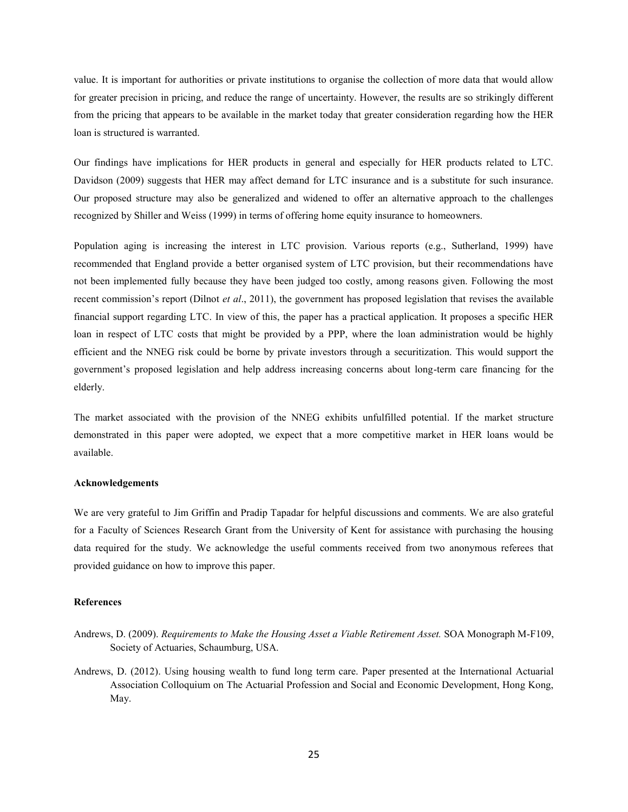value. It is important for authorities or private institutions to organise the collection of more data that would allow for greater precision in pricing, and reduce the range of uncertainty. However, the results are so strikingly different from the pricing that appears to be available in the market today that greater consideration regarding how the HER loan is structured is warranted.

Our findings have implications for HER products in general and especially for HER products related to LTC. Davidson (2009) suggests that HER may affect demand for LTC insurance and is a substitute for such insurance. Our proposed structure may also be generalized and widened to offer an alternative approach to the challenges recognized by Shiller and Weiss (1999) in terms of offering home equity insurance to homeowners.

Population aging is increasing the interest in LTC provision. Various reports (e.g., Sutherland, 1999) have recommended that England provide a better organised system of LTC provision, but their recommendations have not been implemented fully because they have been judged too costly, among reasons given. Following the most recent commission's report (Dilnot *et al*., 2011), the government has proposed legislation that revises the available financial support regarding LTC. In view of this, the paper has a practical application. It proposes a specific HER loan in respect of LTC costs that might be provided by a PPP, where the loan administration would be highly efficient and the NNEG risk could be borne by private investors through a securitization. This would support the government's proposed legislation and help address increasing concerns about long-term care financing for the elderly.

The market associated with the provision of the NNEG exhibits unfulfilled potential. If the market structure demonstrated in this paper were adopted, we expect that a more competitive market in HER loans would be available.

#### **Acknowledgements**

We are very grateful to Jim Griffin and Pradip Tapadar for helpful discussions and comments. We are also grateful for a Faculty of Sciences Research Grant from the University of Kent for assistance with purchasing the housing data required for the study. We acknowledge the useful comments received from two anonymous referees that provided guidance on how to improve this paper.

#### **References**

- Andrews, D. (2009). *Requirements to Make the Housing Asset a Viable Retirement Asset.* SOA Monograph M-F109, Society of Actuaries, Schaumburg, USA.
- Andrews, D. (2012). Using housing wealth to fund long term care. Paper presented at the International Actuarial Association Colloquium on The Actuarial Profession and Social and Economic Development, Hong Kong, May.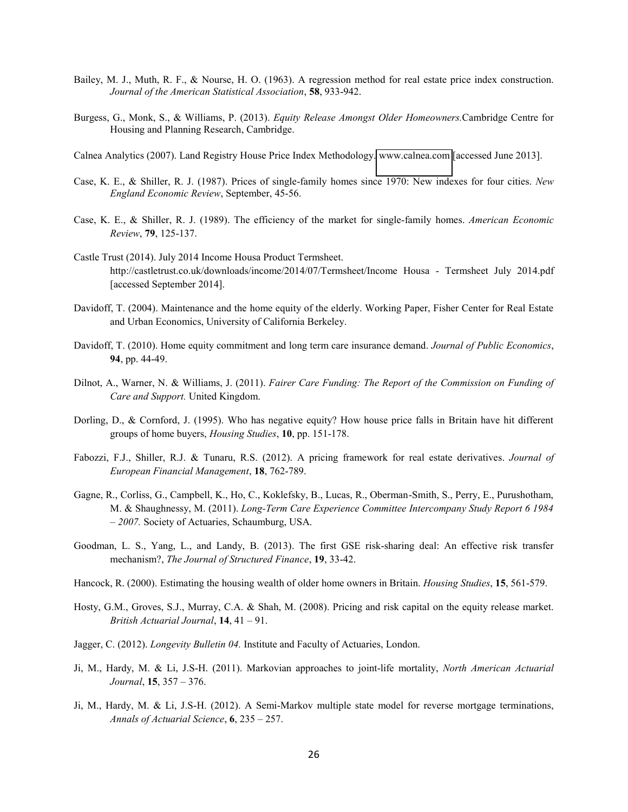- Bailey, M. J., Muth, R. F., & Nourse, H. O. (1963). A regression method for real estate price index construction. *Journal of the American Statistical Association*, **58**, 933-942.
- Burgess, G., Monk, S., & Williams, P. (2013). *Equity Release Amongst Older Homeowners.*Cambridge Centre for Housing and Planning Research, Cambridge.
- Calnea Analytics (2007). Land Registry House Price Index Methodology. [www.calnea.com](http://www.calnea.com/) [accessed June 2013].
- Case, K. E., & Shiller, R. J. (1987). Prices of single-family homes since 1970: New indexes for four cities. *New England Economic Review*, September, 45-56.
- Case, K. E., & Shiller, R. J. (1989). The efficiency of the market for single-family homes. *American Economic Review*, **79**, 125-137.
- Castle Trust (2014). July 2014 Income Housa Product Termsheet. http://castletrust.co.uk/downloads/income/2014/07/Termsheet/Income Housa - Termsheet July 2014.pdf [accessed September 2014].
- Davidoff, T. (2004). Maintenance and the home equity of the elderly. Working Paper, Fisher Center for Real Estate and Urban Economics, University of California Berkeley.
- Davidoff, T. (2010). Home equity commitment and long term care insurance demand. *Journal of Public Economics*, **94**, pp. 44-49.
- Dilnot, A., Warner, N. & Williams, J. (2011). *Fairer Care Funding: The Report of the Commission on Funding of Care and Support.* United Kingdom.
- Dorling, D., & Cornford, J. (1995). Who has negative equity? How house price falls in Britain have hit different groups of home buyers, *Housing Studies*, **10**, pp. 151-178.
- Fabozzi, F.J., Shiller, R.J. & Tunaru, R.S. (2012). A pricing framework for real estate derivatives. *Journal of European Financial Management*, **18**, 762-789.
- Gagne, R., Corliss, G., Campbell, K., Ho, C., Koklefsky, B., Lucas, R., Oberman-Smith, S., Perry, E., Purushotham, M. & Shaughnessy, M. (2011). *Long-Term Care Experience Committee Intercompany Study Report 6 1984 – 2007.* Society of Actuaries, Schaumburg, USA.
- Goodman, L. S., Yang, L., and Landy, B. (2013). The first GSE risk-sharing deal: An effective risk transfer mechanism?, *The Journal of Structured Finance*, **19**, 33-42.
- Hancock, R. (2000). Estimating the housing wealth of older home owners in Britain. *Housing Studies*, **15**, 561-579.
- Hosty, G.M., Groves, S.J., Murray, C.A. & Shah, M. (2008). Pricing and risk capital on the equity release market. *British Actuarial Journal*, **14**, 41 – 91.
- Jagger, C. (2012). *Longevity Bulletin 04.* Institute and Faculty of Actuaries, London.
- Ji, M., Hardy, M. & Li, J.S-H. (2011). Markovian approaches to joint-life mortality, *North American Actuarial Journal*, **15**, 357 – 376.
- Ji, M., Hardy, M. & Li, J.S-H. (2012). A Semi-Markov multiple state model for reverse mortgage terminations, *Annals of Actuarial Science*, **6**, 235 – 257.